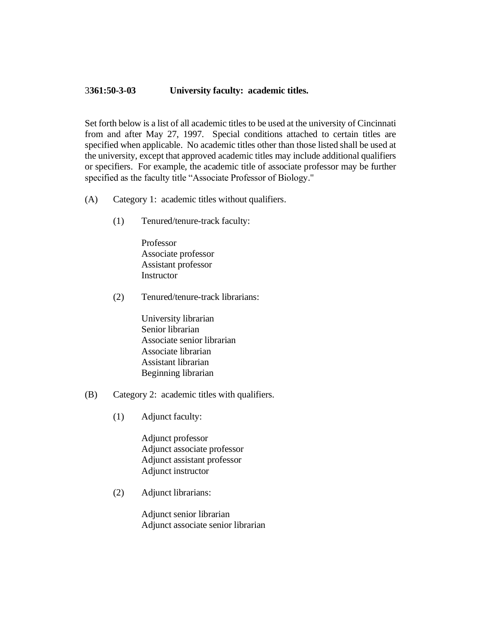## 3**361:50-3-03 University faculty: academic titles.**

Set forth below is a list of all academic titles to be used at the university of Cincinnati from and after May 27, 1997. Special conditions attached to certain titles are specified when applicable. No academic titles other than those listed shall be used at the university, except that approved academic titles may include additional qualifiers or specifiers. For example, the academic title of associate professor may be further specified as the faculty title "Associate Professor of Biology."

- (A) Category 1: academic titles without qualifiers.
	- (1) Tenured/tenure-track faculty:

Professor Associate professor Assistant professor **Instructor** 

(2) Tenured/tenure-track librarians:

University librarian Senior librarian Associate senior librarian Associate librarian Assistant librarian Beginning librarian

- (B) Category 2: academic titles with qualifiers.
	- (1) Adjunct faculty:

Adjunct professor Adjunct associate professor Adjunct assistant professor Adjunct instructor

(2) Adjunct librarians:

Adjunct senior librarian Adjunct associate senior librarian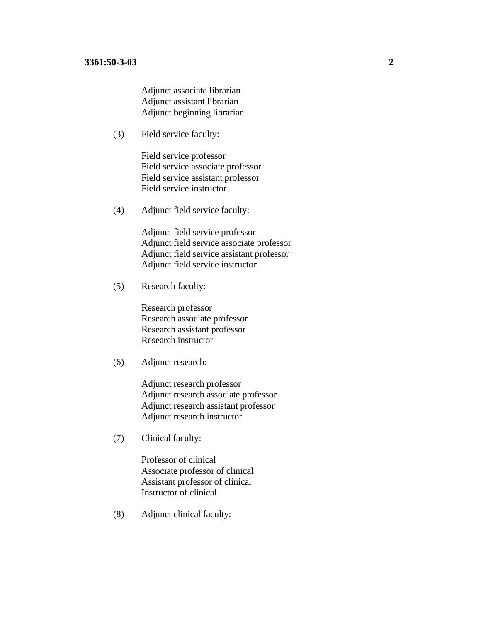Adjunct associate librarian Adjunct assistant librarian Adjunct beginning librarian

(3) Field service faculty:

Field service professor Field service associate professor Field service assistant professor Field service instructor

(4) Adjunct field service faculty:

 Adjunct field service professor Adjunct field service associate professor Adjunct field service assistant professor Adjunct field service instructor

(5) Research faculty:

Research professor Research associate professor Research assistant professor Research instructor

(6) Adjunct research:

Adjunct research professor Adjunct research associate professor Adjunct research assistant professor Adjunct research instructor

(7) Clinical faculty:

Professor of clinical Associate professor of clinical Assistant professor of clinical Instructor of clinical

(8) Adjunct clinical faculty: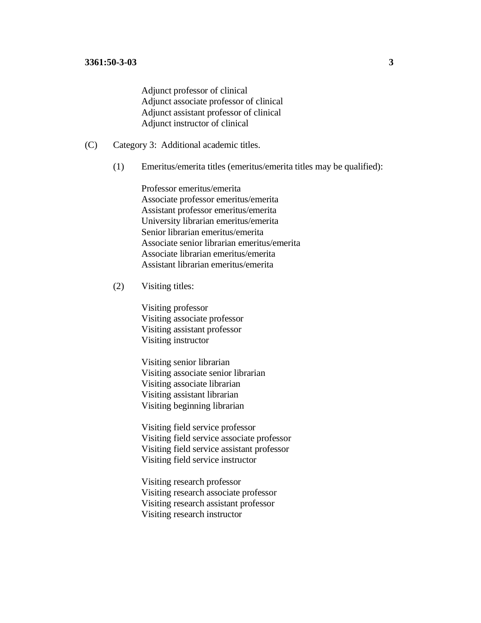Adjunct professor of clinical Adjunct associate professor of clinical Adjunct assistant professor of clinical Adjunct instructor of clinical

- (C) Category 3: Additional academic titles.
	- (1) Emeritus/emerita titles (emeritus/emerita titles may be qualified):

Professor emeritus/emerita Associate professor emeritus/emerita Assistant professor emeritus/emerita University librarian emeritus/emerita Senior librarian emeritus/emerita Associate senior librarian emeritus/emerita Associate librarian emeritus/emerita Assistant librarian emeritus/emerita

## (2) Visiting titles:

Visiting professor Visiting associate professor Visiting assistant professor Visiting instructor

Visiting senior librarian Visiting associate senior librarian Visiting associate librarian Visiting assistant librarian Visiting beginning librarian

Visiting field service professor Visiting field service associate professor Visiting field service assistant professor Visiting field service instructor

Visiting research professor Visiting research associate professor Visiting research assistant professor Visiting research instructor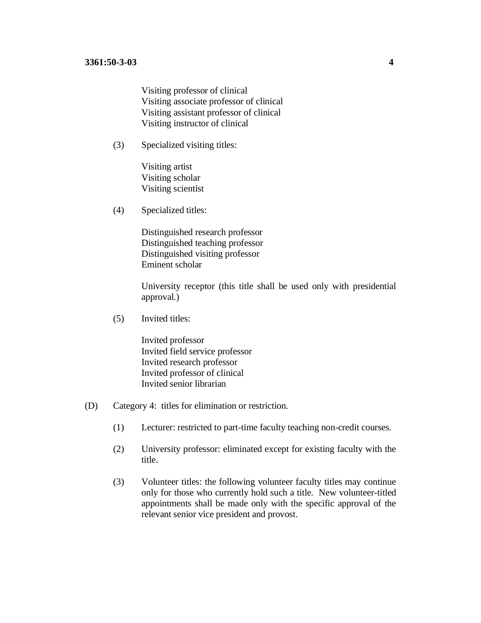Visiting professor of clinical Visiting associate professor of clinical Visiting assistant professor of clinical Visiting instructor of clinical

(3) Specialized visiting titles:

Visiting artist Visiting scholar Visiting scientist

(4) Specialized titles:

Distinguished research professor Distinguished teaching professor Distinguished visiting professor Eminent scholar

University receptor (this title shall be used only with presidential approval.)

(5) Invited titles:

Invited professor Invited field service professor Invited research professor Invited professor of clinical Invited senior librarian

- (D) Category 4: titles for elimination or restriction.
	- (1) Lecturer: restricted to part-time faculty teaching non-credit courses.
	- (2) University professor: eliminated except for existing faculty with the title.
	- (3) Volunteer titles: the following volunteer faculty titles may continue only for those who currently hold such a title. New volunteer-titled appointments shall be made only with the specific approval of the relevant senior vice president and provost.